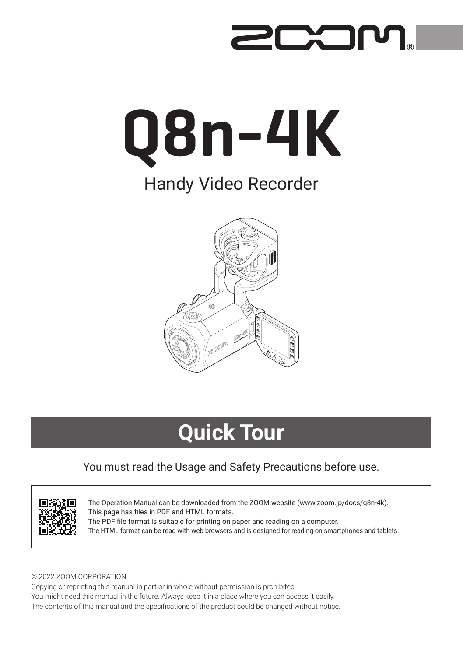# 200



### Handy Video Recorder



## **Quick Tour**

#### You must read the Usage and Safety Precautions before use.



The Operation Manual can be downloaded from the ZOOM website ([www.zoom.jp/docs/q8n-4k](https://www.zoom.jp/docs/q8n-4k)). This page has files in PDF and HTML formats. The PDF file format is suitable for printing on paper and reading on a computer. The HTML format can be read with web browsers and is designed for reading on smartphones and tablets.

#### © 2022 ZOOM CORPORATION

Copying or reprinting this manual in part or in whole without permission is prohibited. You might need this manual in the future. Always keep it in a place where you can access it easily. The contents of this manual and the specifications of the product could be changed without notice.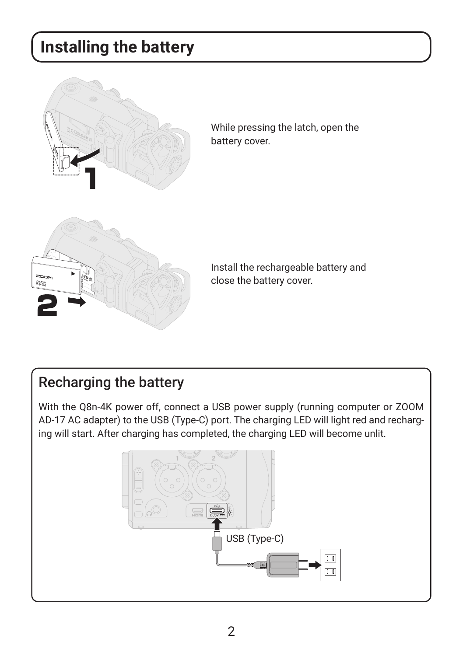## **Installing the battery**



While pressing the latch, open the battery cover.



Install the rechargeable battery and close the battery cover.

### Recharging the battery

With the Q8n-4K power off, connect a USB power supply (running computer or ZOOM AD-17 AC adapter) to the USB (Type-C) port. The charging LED will light red and recharging will start. After charging has completed, the charging LED will become unlit.

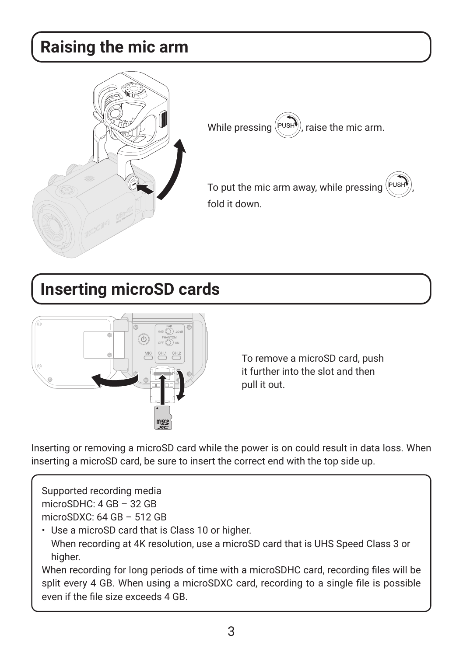### **Raising the mic arm**



While pressing  $(\forall v$ sH), raise the mic arm.

To put the mic arm away, while pressing , fold it down.

### **Inserting microSD cards**



To remove a microSD card, push it further into the slot and then pull it out.

Inserting or removing a microSD card while the power is on could result in data loss. When inserting a microSD card, be sure to insert the correct end with the top side up.

Supported recording media microSDHC: 4 GB – 32 GB microSDXC: 64 GB – 512 GB

• Use a microSD card that is Class 10 or higher. When recording at 4K resolution, use a microSD card that is UHS Speed Class 3 or higher.

When recording for long periods of time with a microSDHC card, recording files will be split every 4 GB. When using a microSDXC card, recording to a single file is possible even if the file size exceeds 4 GB.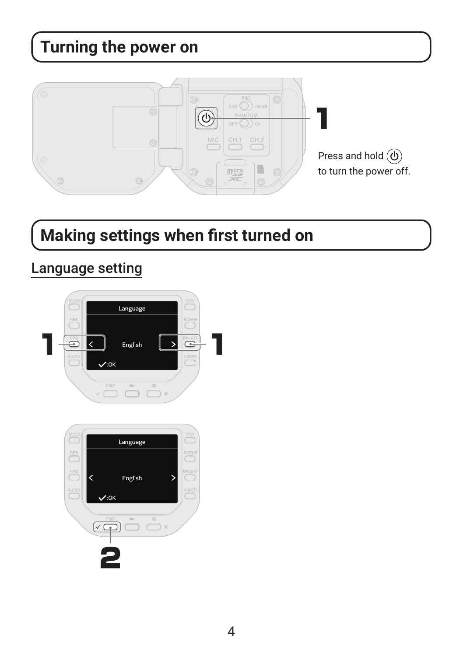## **Turning the power on**



## **Making settings when first turned on**

### Language setting

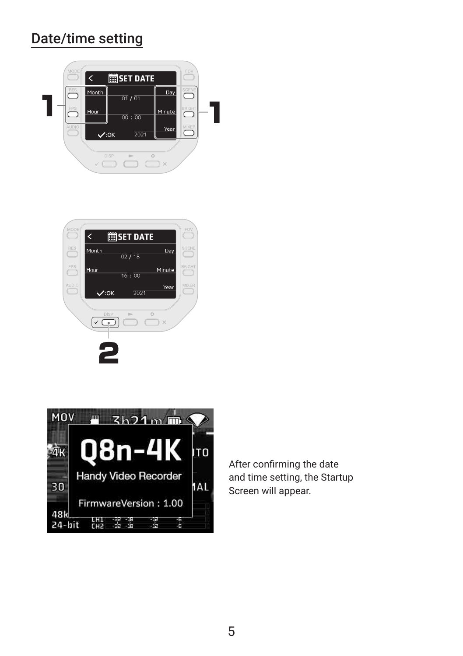### Date/time setting







After confirming the date and time setting, the Startup Screen will appear.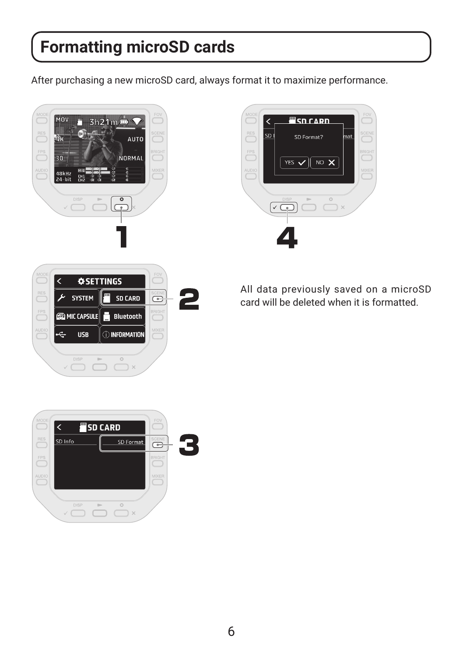### **Formatting microSD cards**

After purchasing a new microSD card, always format it to maximize performance.





All data previously saved on a microSD card will be deleted when it is formatted.

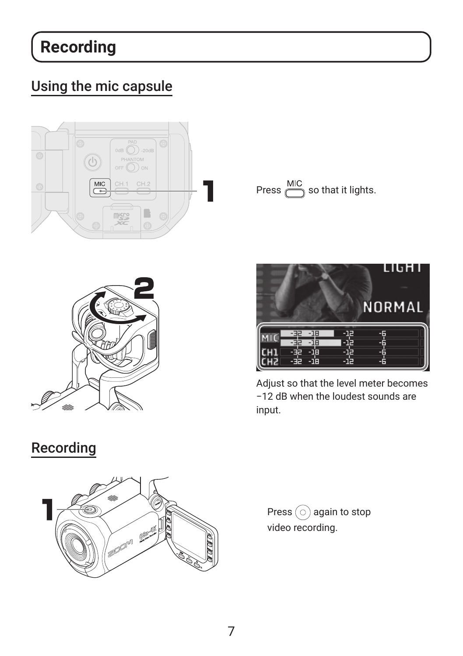## **Recording**

### Using the mic capsule









Adjust so that the level meter becomes −12 dB when the loudest sounds are input.

### Recording



Press  $\circledcirc$  again to stop video recording.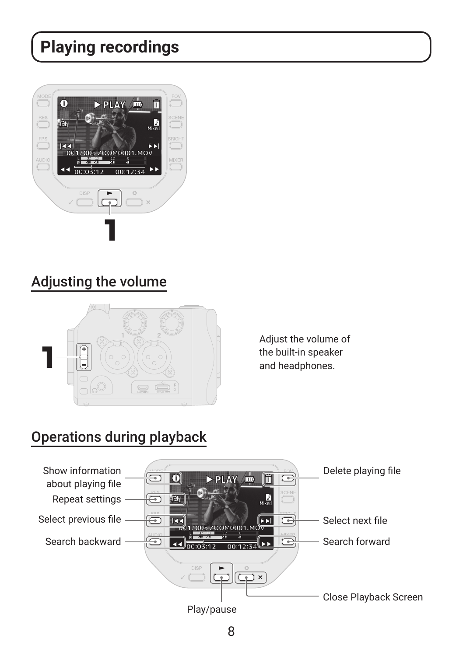## **Playing recordings**



### Adjusting the volume



Adjust the volume of the built-in speaker and headphones.

### Operations during playback

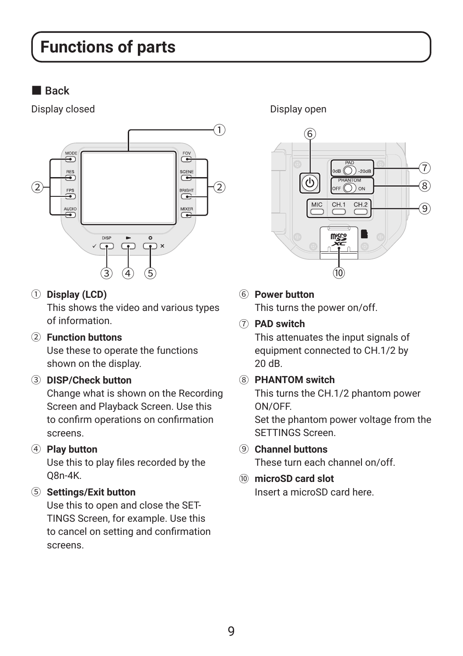### **Functions of parts**

#### ■ Back

Display closed Display open



① **Display (LCD)**

This shows the video and various types of information.

② **Function buttons**

Use these to operate the functions shown on the display.

③ **DISP/Check button**

Change what is shown on the Recording Screen and Playback Screen. Use this to confirm operations on confirmation screens.

④ **Play button**

Use this to play files recorded by the Q8n-4K.

⑤ **Settings/Exit button**

Use this to open and close the SET-TINGS Screen, for example. Use this to cancel on setting and confirmation screens.



⑥ **Power button**

This turns the power on/off.

⑦ **PAD switch**

This attenuates the input signals of equipment connected to CH.1/2 by 20 dB.

⑧ **PHANTOM switch**

This turns the CH.1/2 phantom power ON/OFF.

Set the phantom power voltage from the SETTINGS Screen.

- ⑨ **Channel buttons** These turn each channel on/off.
- ⑩ **microSD card slot** Insert a microSD card here.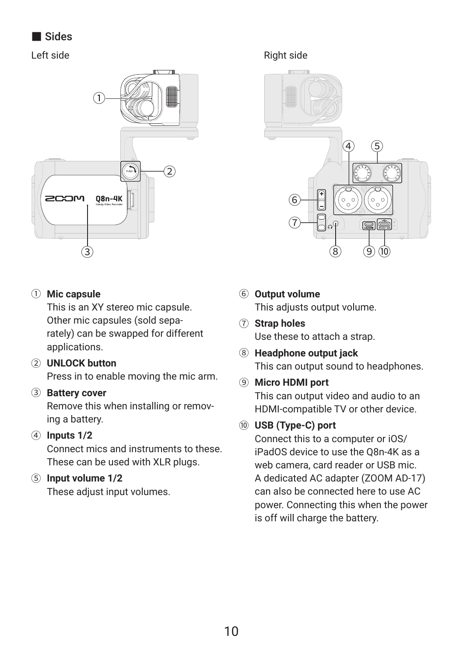■ Sides



#### ① **Mic capsule**

This is an XY stereo mic capsule. Other mic capsules (sold separately) can be swapped for different applications.

② **UNLOCK button** Press in to enable moving the mic arm.

#### ③ **Battery cover**

Remove this when installing or removing a battery.

#### ④ **Inputs 1/2**

Connect mics and instruments to these. These can be used with XLR plugs.

#### ⑤ **Input volume 1/2**

These adjust input volumes.

Left side Right side



- ⑥ **Output volume** This adjusts output volume.
- ⑦ **Strap holes**

Use these to attach a strap.

- ⑧ **Headphone output jack** This can output sound to headphones.
- ⑨ **Micro HDMI port**

This can output video and audio to an HDMI-compatible TV or other device.

#### ⑩ **USB (Type-C) port**

Connect this to a computer or iOS/ iPadOS device to use the Q8n-4K as a web camera, card reader or USB mic. A dedicated AC adapter (ZOOM AD-17) can also be connected here to use AC power. Connecting this when the power is off will charge the battery.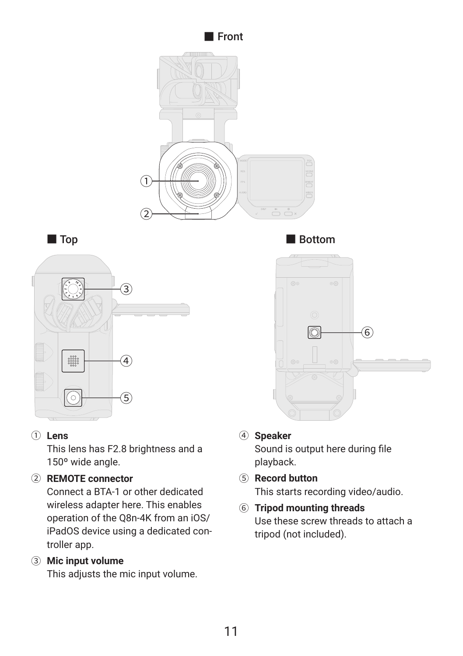



#### ① **Lens**

This lens has F2.8 brightness and a 150º wide angle.

#### ② **REMOTE connector**

Connect a BTA-1 or other dedicated wireless adapter here. This enables operation of the Q8n-4K from an iOS/ iPadOS device using a dedicated controller app.

#### ③ **Mic input volume**

This adjusts the mic input volume.

■ Top Bottom



#### ④ **Speaker**

Sound is output here during file playback.

- ⑤ **Record button** This starts recording video/audio.
- ⑥ **Tripod mounting threads** Use these screw threads to attach a tripod (not included).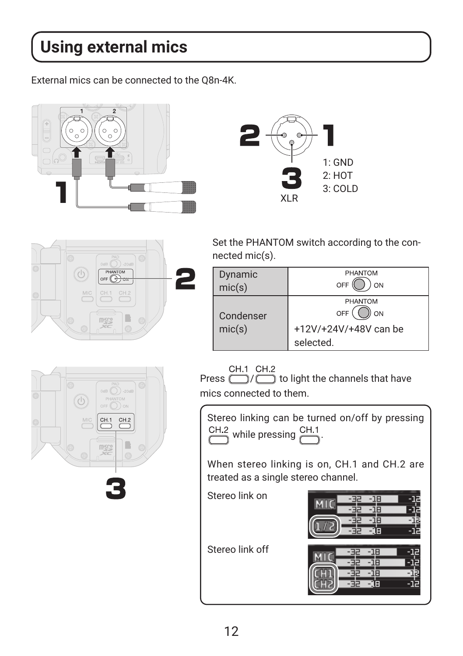## **Using external mics**

External mics can be connected to the Q8n-4K.







Set the PHANTOM switch according to the connected mic(s).

| Dynamic<br>mic(s) | <b>PHANTOM</b><br>OFF<br>ON        |
|-------------------|------------------------------------|
| Condenser         | PHANTOM<br>ON<br>OFF               |
| mic(s)            | +12V/+24V/+48V can be<br>selected. |



CH.1 CH.2<br>Press  $\bigodot$  /  $\bigodot$  to light the channels that have mics connected to them.

Stereo linking can be turned on/off by pressing  $C<sup>H.2</sup>$  while pressing  $C<sup>H.1</sup>$ 

When stereo linking is on, CH.1 and CH.2 are treated as a single stereo channel.

Stereo link on



Stereo link off

- 18 -12 -12 -18 -12 頓 -12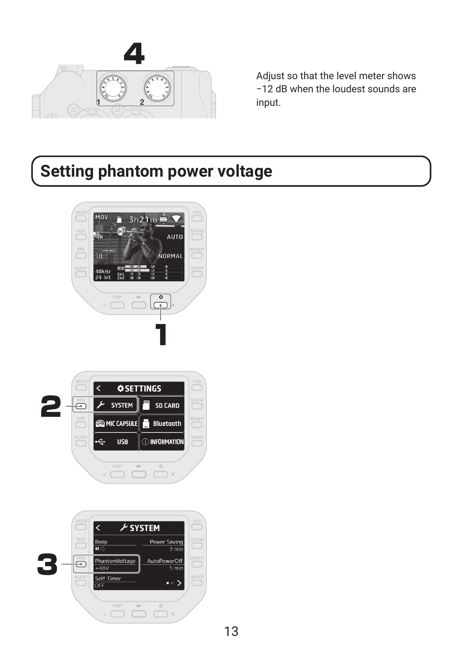

Adjust so that the level meter shows −12 dB when the loudest sounds are input.

## **Setting phantom power voltage**





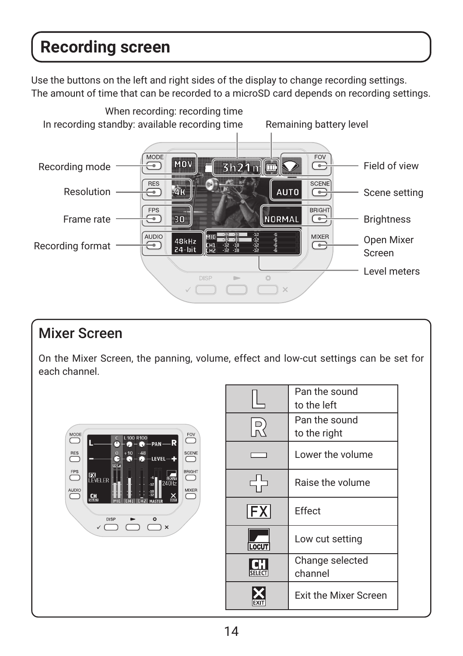### **Recording screen**

Use the buttons on the left and right sides of the display to change recording settings. The amount of time that can be recorded to a microSD card depends on recording settings.



### Mixer Screen

On the Mixer Screen, the panning, volume, effect and low-cut settings can be set for each channel.



|                           | Pan the sound<br>to the left  |
|---------------------------|-------------------------------|
| $\sum_{n=1}^{\infty}$     | Pan the sound<br>to the right |
|                           | Lower the volume              |
|                           | Raise the volume              |
| $ \mathsf{F} \mathsf{X} $ | <b>Fffect</b>                 |
| <b>LOCUT</b>              | Low cut setting               |
|                           | Change selected<br>channel    |
|                           | <b>Exit the Mixer Screen</b>  |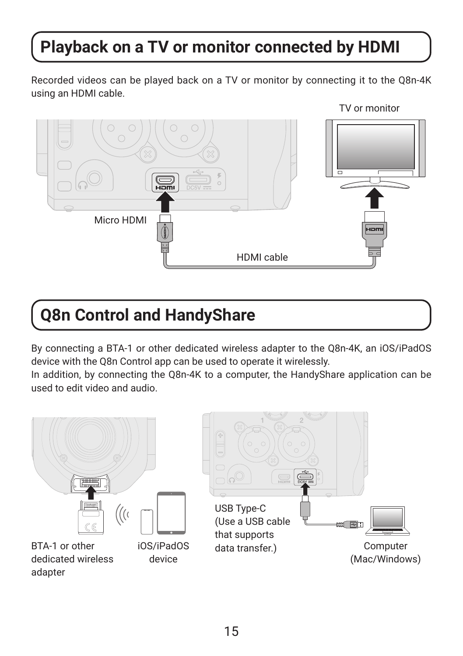## **Playback on a TV or monitor connected by HDMI**

Recorded videos can be played back on a TV or monitor by connecting it to the Q8n-4K using an HDMI cable.



### **Q8n Control and HandyShare**

By connecting a BTA-1 or other dedicated wireless adapter to the Q8n-4K, an iOS/iPadOS device with the Q8n Control app can be used to operate it wirelessly.

In addition, by connecting the Q8n-4K to a computer, the HandyShare application can be used to edit video and audio.